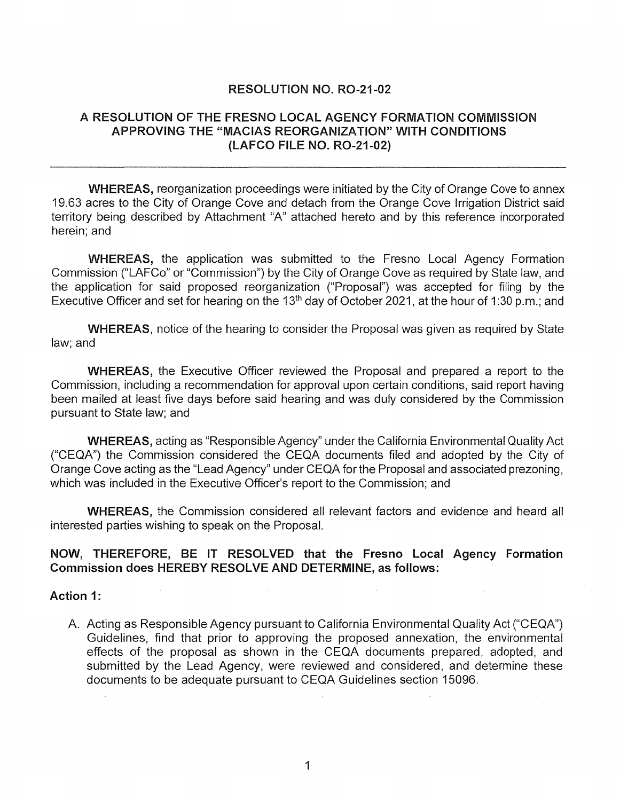### RESOLUTION NO. R0-21-02

### A RESOLUTION OF THE FRESNO LOCAL AGENCY FORMATION COMMISSION APPROVING THE "MACIAS REORGANIZATION" WITH CONDITIONS (LAFCO FILE NO. R0-21-02)

WHEREAS, reorganization proceedings were initiated by the City of Orange Cove to annex 19.63 acres to the City of Orange Cove and detach from the Orange Cove Irrigation District said territory being described by Attachment "A" attached hereto and by this reference incorporated herein; and

WHEREAS, the application was submitted to the Fresno Local Agency Formation Commission ("LAFCo" or "Commission") by the City of Orange Cove as required by State law, and the application for said proposed reorganization ("Proposal") was accepted for filing by the Executive Officer and set for hearing on the 13<sup>th</sup> day of October 2021, at the hour of 1:30 p.m.; and

WHEREAS, notice of the hearing to consider the Proposal was given as required by State law; and

WHEREAS, the Executive Officer reviewed the Proposal and prepared a report to the Commission, including a recommendation for approval upon certain conditions, said report having been mailed at least five days before said hearing and was duly considered by the Commission pursuant to State law; and

WHEREAS, acting as "Responsible Agency" under the California Environmental Quality Act ("CEQA") the Commission considered the CEQA documents filed and adopted by the City of Orange Cove acting as the "Lead Agency" under CEQA forthe Proposal and associated prezoning, which was included in the Executive Officer's report to the Commission; and

WHEREAS, the Commission considered all relevant factors and evidence and heard all interested parties wishing to speak on the Proposal.

#### NOW, THEREFORE, BE IT RESOLVED that the Fresno Local Agency Formation Commission does HEREBY RESOLVE AND DETERMINE, as follows:

#### Action 1:

A. Acting as Responsible Agency pursuant to California Environmental Quality Act ("CEQA") Guidelines, find that prior to approving the proposed annexation, the environmental effects of the proposal as shown in the CEQA documents prepared, adopted, and submitted by the Lead Agency, were reviewed and considered, and determine these documents to be adequate pursuant to CEQA Guidelines section 15096.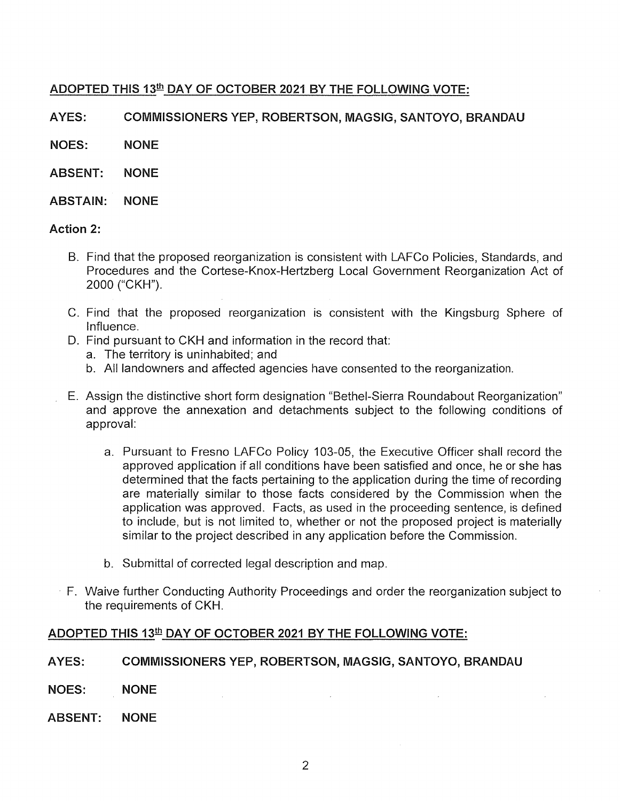# ADOPTED THIS 13th DAY OF OCTOBER 2021 BY THE FOLLOWING VOTE:

AYES: COMMISSIONERS YEP, ROBERTSON, MAGSIG, SANTOYO, BRANDAU

NOES: NONE

- ABSENT: NONE
- ABSTAIN: NONE

#### Action 2:

- B. Find that the proposed reorganization is consistent with LAFCo Policies, Standards, and Procedures and the Cortese-Knox-Hertzberg Local Government Reorganization Act of 2000 ("CKH").
- C. Find that the proposed reorganization is consistent with the Kingsburg Sphere of Influence.
- D. Find pursuant to CKH and information in the record that:
	- a. The territory is uninhabited; and
	- b. All landowners and affected agencies have consented to the reorganization.
- E. Assign the distinctive short form designation "Bethel-Sierra Roundabout Reorganization" and approve the annexation and detachments subject to the following conditions of approval:
	- a. Pursuant to Fresno LAFCo Policy 103-05, the Executive Officer shall record the approved application if all conditions have been satisfied and once, he or she has determined that the facts pertaining to the application during the time of recording are materially similar to those facts considered by the Commission when the application was approved. Facts, as used in the proceeding sentence, is defined *to* include, but is not limited to, whether or not the proposed project is materially similar to the project described in any application before the Commission.
	- b. Submittal of corrected legal description and map.
- · F. Waive further Conducting Authority Proceedings and order the reorganization subject to the requirements of CKH.

## ADOPTED THIS 13<sup>th</sup> DAY OF OCTOBER 2021 BY THE FOLLOWING VOTE:

#### AYES: COMMISSIONERS YEP, ROBERTSON, MAGSIG, SANTOYO, BRANDAU

- NOES: NONE
- ABSENT: NONE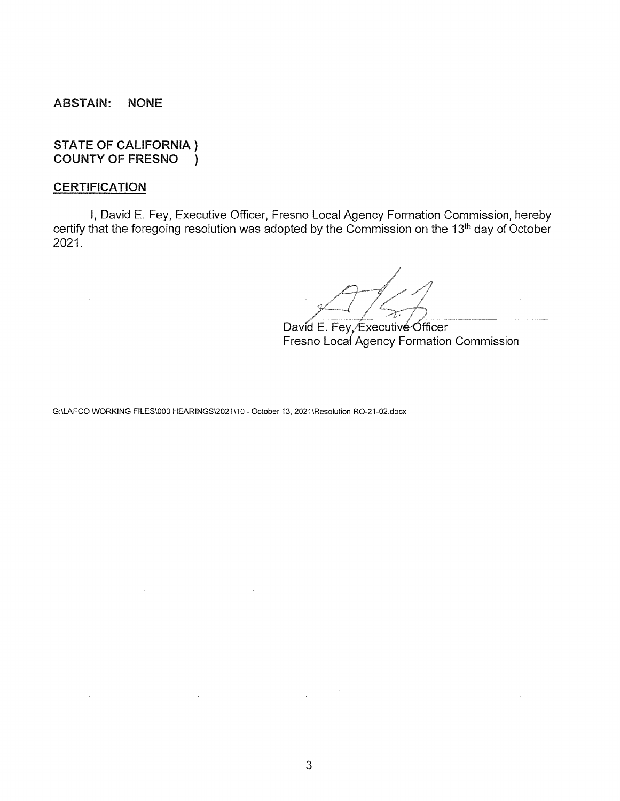ABSTAIN: NONE

STATE OF CALIFORNIA } COUNTY OF FRESNO )

### **CERTIFICATION**

I, David E. Fey, Executive Officer, Fresno Local Agency Formation Commission, hereby certify that the foregoing resolution was adopted by the Commission on the 13<sup>th</sup> day of October 2021.

David E. Fey, Executive Officer Fresno Loca{ Agency Formation Commission

G:\LAFCO WORKING FILES\000 HEARINGS\2021\10- October 13, 2021\Resolution R0-21-02.docx

 $\sim 10^{-10}$ 

 $\bar{z}$